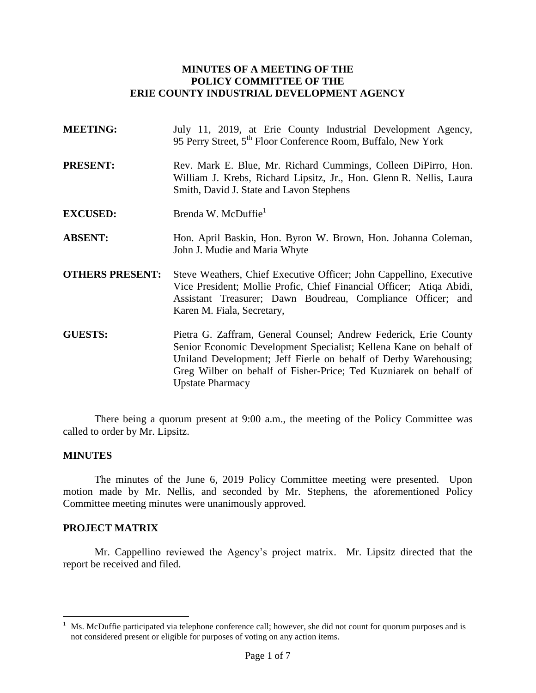### **MINUTES OF A MEETING OF THE POLICY COMMITTEE OF THE ERIE COUNTY INDUSTRIAL DEVELOPMENT AGENCY**

| <b>MEETING:</b>        | July 11, 2019, at Erie County Industrial Development Agency,<br>95 Perry Street, 5 <sup>th</sup> Floor Conference Room, Buffalo, New York                                                                                                |  |
|------------------------|------------------------------------------------------------------------------------------------------------------------------------------------------------------------------------------------------------------------------------------|--|
| <b>PRESENT:</b>        | Rev. Mark E. Blue, Mr. Richard Cummings, Colleen DiPirro, Hon.<br>William J. Krebs, Richard Lipsitz, Jr., Hon. Glenn R. Nellis, Laura<br>Smith, David J. State and Lavon Stephens                                                        |  |
| <b>EXCUSED:</b>        | Brenda W. McDuffie <sup>1</sup>                                                                                                                                                                                                          |  |
| <b>ABSENT:</b>         | Hon. April Baskin, Hon. Byron W. Brown, Hon. Johanna Coleman,<br>John J. Mudie and Maria Whyte                                                                                                                                           |  |
| <b>OTHERS PRESENT:</b> | Steve Weathers, Chief Executive Officer; John Cappellino, Executive<br>Vice President; Mollie Profic, Chief Financial Officer; Atiqa Abidi,<br>Assistant Treasurer; Dawn Boudreau, Compliance Officer; and<br>Karen M. Fiala, Secretary, |  |
| <b>GUESTS:</b>         | Pietra G. Zaffram, General Counsel; Andrew Federick, Erie County<br>Sonior Economic Dovelopment Specialist: Kellone Kene on behalf of                                                                                                    |  |

Senior Economic Development Specialist; Kellena Kane on behalf of Uniland Development; Jeff Fierle on behalf of Derby Warehousing; Greg Wilber on behalf of Fisher-Price; Ted Kuzniarek on behalf of Upstate Pharmacy

There being a quorum present at 9:00 a.m., the meeting of the Policy Committee was called to order by Mr. Lipsitz.

#### **MINUTES**

 $\overline{a}$ 

The minutes of the June 6, 2019 Policy Committee meeting were presented. Upon motion made by Mr. Nellis, and seconded by Mr. Stephens, the aforementioned Policy Committee meeting minutes were unanimously approved.

#### **PROJECT MATRIX**

Mr. Cappellino reviewed the Agency's project matrix. Mr. Lipsitz directed that the report be received and filed.

Ms. McDuffie participated via telephone conference call; however, she did not count for quorum purposes and is not considered present or eligible for purposes of voting on any action items.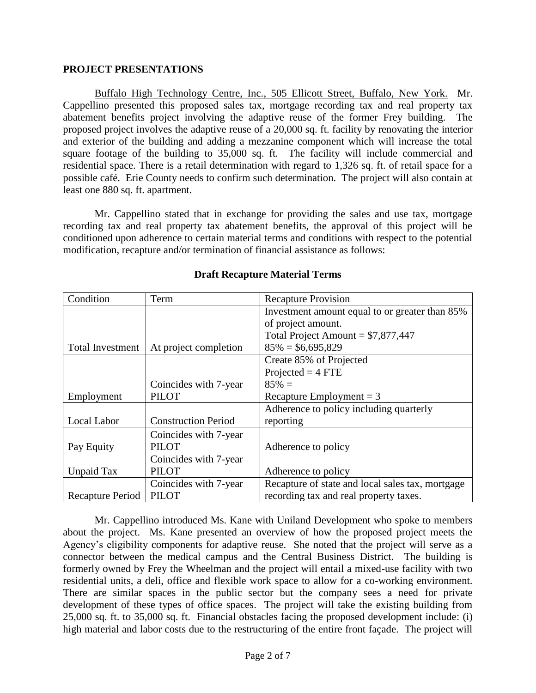#### **PROJECT PRESENTATIONS**

Buffalo High Technology Centre, Inc., 505 Ellicott Street, Buffalo, New York. Mr. Cappellino presented this proposed sales tax, mortgage recording tax and real property tax abatement benefits project involving the adaptive reuse of the former Frey building. The proposed project involves the adaptive reuse of a 20,000 sq. ft. facility by renovating the interior and exterior of the building and adding a mezzanine component which will increase the total square footage of the building to 35,000 sq. ft. The facility will include commercial and residential space. There is a retail determination with regard to 1,326 sq. ft. of retail space for a possible café. Erie County needs to confirm such determination. The project will also contain at least one 880 sq. ft. apartment.

Mr. Cappellino stated that in exchange for providing the sales and use tax, mortgage recording tax and real property tax abatement benefits, the approval of this project will be conditioned upon adherence to certain material terms and conditions with respect to the potential modification, recapture and/or termination of financial assistance as follows:

| Condition               | Term                       | <b>Recapture Provision</b>                       |
|-------------------------|----------------------------|--------------------------------------------------|
|                         |                            | Investment amount equal to or greater than 85%   |
|                         |                            | of project amount.                               |
|                         |                            | Total Project Amount = $$7,877,447$              |
| <b>Total Investment</b> | At project completion      | $85\% = $6,695,829$                              |
|                         |                            | Create 85% of Projected                          |
|                         |                            | $Projected = 4 FTE$                              |
|                         | Coincides with 7-year      | $85\% =$                                         |
| Employment              | <b>PILOT</b>               | Recapture Employment $=$ 3                       |
|                         |                            | Adherence to policy including quarterly          |
| Local Labor             | <b>Construction Period</b> | reporting                                        |
|                         | Coincides with 7-year      |                                                  |
| Pay Equity              | <b>PILOT</b>               | Adherence to policy                              |
|                         | Coincides with 7-year      |                                                  |
| Unpaid Tax              | <b>PILOT</b>               | Adherence to policy                              |
|                         | Coincides with 7-year      | Recapture of state and local sales tax, mortgage |
| Recapture Period        | <b>PILOT</b>               | recording tax and real property taxes.           |

# **Draft Recapture Material Terms**

Mr. Cappellino introduced Ms. Kane with Uniland Development who spoke to members about the project. Ms. Kane presented an overview of how the proposed project meets the Agency's eligibility components for adaptive reuse. She noted that the project will serve as a connector between the medical campus and the Central Business District. The building is formerly owned by Frey the Wheelman and the project will entail a mixed-use facility with two residential units, a deli, office and flexible work space to allow for a co-working environment. There are similar spaces in the public sector but the company sees a need for private development of these types of office spaces. The project will take the existing building from 25,000 sq. ft. to 35,000 sq. ft. Financial obstacles facing the proposed development include: (i) high material and labor costs due to the restructuring of the entire front façade. The project will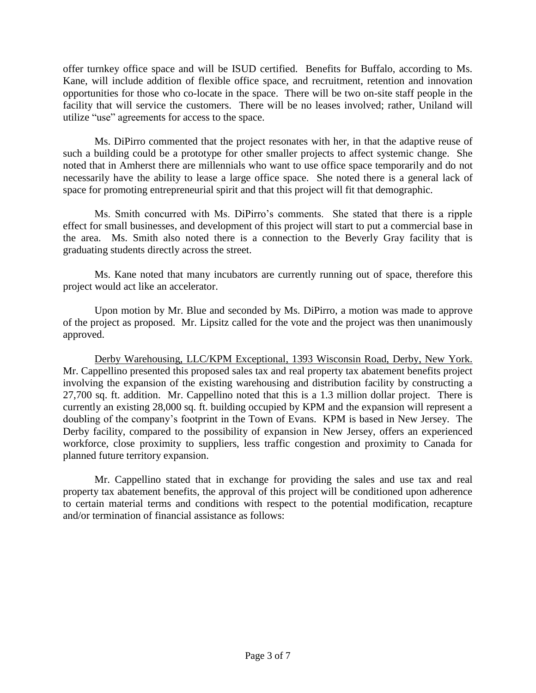offer turnkey office space and will be ISUD certified. Benefits for Buffalo, according to Ms. Kane, will include addition of flexible office space, and recruitment, retention and innovation opportunities for those who co-locate in the space. There will be two on-site staff people in the facility that will service the customers. There will be no leases involved; rather, Uniland will utilize "use" agreements for access to the space.

Ms. DiPirro commented that the project resonates with her, in that the adaptive reuse of such a building could be a prototype for other smaller projects to affect systemic change. She noted that in Amherst there are millennials who want to use office space temporarily and do not necessarily have the ability to lease a large office space. She noted there is a general lack of space for promoting entrepreneurial spirit and that this project will fit that demographic.

Ms. Smith concurred with Ms. DiPirro's comments. She stated that there is a ripple effect for small businesses, and development of this project will start to put a commercial base in the area. Ms. Smith also noted there is a connection to the Beverly Gray facility that is graduating students directly across the street.

Ms. Kane noted that many incubators are currently running out of space, therefore this project would act like an accelerator.

Upon motion by Mr. Blue and seconded by Ms. DiPirro, a motion was made to approve of the project as proposed. Mr. Lipsitz called for the vote and the project was then unanimously approved.

Derby Warehousing, LLC/KPM Exceptional, 1393 Wisconsin Road, Derby, New York. Mr. Cappellino presented this proposed sales tax and real property tax abatement benefits project involving the expansion of the existing warehousing and distribution facility by constructing a 27,700 sq. ft. addition. Mr. Cappellino noted that this is a 1.3 million dollar project. There is currently an existing 28,000 sq. ft. building occupied by KPM and the expansion will represent a doubling of the company's footprint in the Town of Evans. KPM is based in New Jersey. The Derby facility, compared to the possibility of expansion in New Jersey, offers an experienced workforce, close proximity to suppliers, less traffic congestion and proximity to Canada for planned future territory expansion.

Mr. Cappellino stated that in exchange for providing the sales and use tax and real property tax abatement benefits, the approval of this project will be conditioned upon adherence to certain material terms and conditions with respect to the potential modification, recapture and/or termination of financial assistance as follows: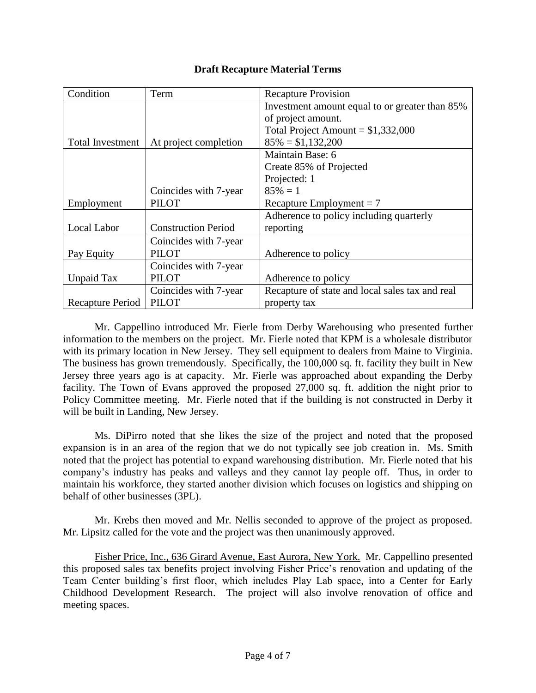| Condition        | Term                       | <b>Recapture Provision</b>                      |
|------------------|----------------------------|-------------------------------------------------|
|                  |                            | Investment amount equal to or greater than 85%  |
|                  |                            | of project amount.                              |
|                  |                            | Total Project Amount = $$1,332,000$             |
| Total Investment | At project completion      | $85\% = $1,132,200$                             |
|                  |                            | Maintain Base: 6                                |
|                  |                            | Create 85% of Projected                         |
|                  |                            | Projected: 1                                    |
|                  | Coincides with 7-year      | $85\% = 1$                                      |
| Employment       | <b>PILOT</b>               | Recapture Employment = $7$                      |
|                  |                            | Adherence to policy including quarterly         |
| Local Labor      | <b>Construction Period</b> | reporting                                       |
|                  | Coincides with 7-year      |                                                 |
| Pay Equity       | <b>PILOT</b>               | Adherence to policy                             |
|                  | Coincides with 7-year      |                                                 |
| Unpaid Tax       | <b>PILOT</b>               | Adherence to policy                             |
|                  | Coincides with 7-year      | Recapture of state and local sales tax and real |
| Recapture Period | <b>PILOT</b>               | property tax                                    |

Mr. Cappellino introduced Mr. Fierle from Derby Warehousing who presented further information to the members on the project. Mr. Fierle noted that KPM is a wholesale distributor with its primary location in New Jersey. They sell equipment to dealers from Maine to Virginia. The business has grown tremendously. Specifically, the 100,000 sq. ft. facility they built in New Jersey three years ago is at capacity. Mr. Fierle was approached about expanding the Derby facility. The Town of Evans approved the proposed 27,000 sq. ft. addition the night prior to Policy Committee meeting. Mr. Fierle noted that if the building is not constructed in Derby it will be built in Landing, New Jersey.

Ms. DiPirro noted that she likes the size of the project and noted that the proposed expansion is in an area of the region that we do not typically see job creation in. Ms. Smith noted that the project has potential to expand warehousing distribution. Mr. Fierle noted that his company's industry has peaks and valleys and they cannot lay people off. Thus, in order to maintain his workforce, they started another division which focuses on logistics and shipping on behalf of other businesses (3PL).

Mr. Krebs then moved and Mr. Nellis seconded to approve of the project as proposed. Mr. Lipsitz called for the vote and the project was then unanimously approved.

Fisher Price, Inc., 636 Girard Avenue, East Aurora, New York. Mr. Cappellino presented this proposed sales tax benefits project involving Fisher Price's renovation and updating of the Team Center building's first floor, which includes Play Lab space, into a Center for Early Childhood Development Research. The project will also involve renovation of office and meeting spaces.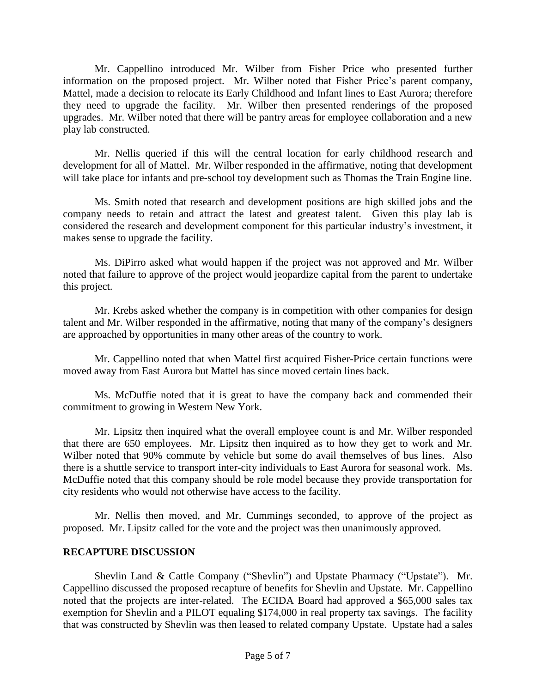Mr. Cappellino introduced Mr. Wilber from Fisher Price who presented further information on the proposed project. Mr. Wilber noted that Fisher Price's parent company, Mattel, made a decision to relocate its Early Childhood and Infant lines to East Aurora; therefore they need to upgrade the facility. Mr. Wilber then presented renderings of the proposed upgrades. Mr. Wilber noted that there will be pantry areas for employee collaboration and a new play lab constructed.

Mr. Nellis queried if this will the central location for early childhood research and development for all of Mattel. Mr. Wilber responded in the affirmative, noting that development will take place for infants and pre-school toy development such as Thomas the Train Engine line.

Ms. Smith noted that research and development positions are high skilled jobs and the company needs to retain and attract the latest and greatest talent. Given this play lab is considered the research and development component for this particular industry's investment, it makes sense to upgrade the facility.

Ms. DiPirro asked what would happen if the project was not approved and Mr. Wilber noted that failure to approve of the project would jeopardize capital from the parent to undertake this project.

Mr. Krebs asked whether the company is in competition with other companies for design talent and Mr. Wilber responded in the affirmative, noting that many of the company's designers are approached by opportunities in many other areas of the country to work.

Mr. Cappellino noted that when Mattel first acquired Fisher-Price certain functions were moved away from East Aurora but Mattel has since moved certain lines back.

Ms. McDuffie noted that it is great to have the company back and commended their commitment to growing in Western New York.

Mr. Lipsitz then inquired what the overall employee count is and Mr. Wilber responded that there are 650 employees. Mr. Lipsitz then inquired as to how they get to work and Mr. Wilber noted that 90% commute by vehicle but some do avail themselves of bus lines. Also there is a shuttle service to transport inter-city individuals to East Aurora for seasonal work. Ms. McDuffie noted that this company should be role model because they provide transportation for city residents who would not otherwise have access to the facility.

Mr. Nellis then moved, and Mr. Cummings seconded, to approve of the project as proposed. Mr. Lipsitz called for the vote and the project was then unanimously approved.

## **RECAPTURE DISCUSSION**

Shevlin Land & Cattle Company ("Shevlin") and Upstate Pharmacy ("Upstate"). Mr. Cappellino discussed the proposed recapture of benefits for Shevlin and Upstate. Mr. Cappellino noted that the projects are inter-related. The ECIDA Board had approved a \$65,000 sales tax exemption for Shevlin and a PILOT equaling \$174,000 in real property tax savings. The facility that was constructed by Shevlin was then leased to related company Upstate. Upstate had a sales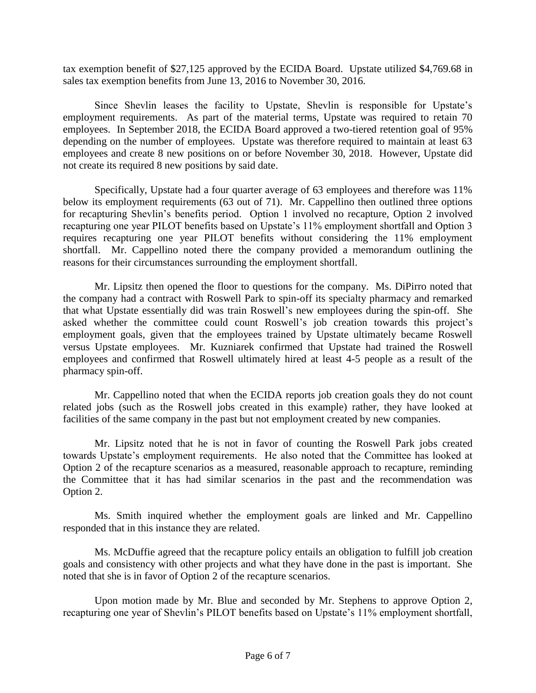tax exemption benefit of \$27,125 approved by the ECIDA Board. Upstate utilized \$4,769.68 in sales tax exemption benefits from June 13, 2016 to November 30, 2016.

Since Shevlin leases the facility to Upstate, Shevlin is responsible for Upstate's employment requirements. As part of the material terms, Upstate was required to retain 70 employees. In September 2018, the ECIDA Board approved a two-tiered retention goal of 95% depending on the number of employees. Upstate was therefore required to maintain at least 63 employees and create 8 new positions on or before November 30, 2018. However, Upstate did not create its required 8 new positions by said date.

Specifically, Upstate had a four quarter average of 63 employees and therefore was 11% below its employment requirements (63 out of 71). Mr. Cappellino then outlined three options for recapturing Shevlin's benefits period. Option 1 involved no recapture, Option 2 involved recapturing one year PILOT benefits based on Upstate's 11% employment shortfall and Option 3 requires recapturing one year PILOT benefits without considering the 11% employment shortfall. Mr. Cappellino noted there the company provided a memorandum outlining the reasons for their circumstances surrounding the employment shortfall.

Mr. Lipsitz then opened the floor to questions for the company. Ms. DiPirro noted that the company had a contract with Roswell Park to spin-off its specialty pharmacy and remarked that what Upstate essentially did was train Roswell's new employees during the spin-off. She asked whether the committee could count Roswell's job creation towards this project's employment goals, given that the employees trained by Upstate ultimately became Roswell versus Upstate employees. Mr. Kuzniarek confirmed that Upstate had trained the Roswell employees and confirmed that Roswell ultimately hired at least 4-5 people as a result of the pharmacy spin-off.

Mr. Cappellino noted that when the ECIDA reports job creation goals they do not count related jobs (such as the Roswell jobs created in this example) rather, they have looked at facilities of the same company in the past but not employment created by new companies.

Mr. Lipsitz noted that he is not in favor of counting the Roswell Park jobs created towards Upstate's employment requirements. He also noted that the Committee has looked at Option 2 of the recapture scenarios as a measured, reasonable approach to recapture, reminding the Committee that it has had similar scenarios in the past and the recommendation was Option 2.

Ms. Smith inquired whether the employment goals are linked and Mr. Cappellino responded that in this instance they are related.

Ms. McDuffie agreed that the recapture policy entails an obligation to fulfill job creation goals and consistency with other projects and what they have done in the past is important. She noted that she is in favor of Option 2 of the recapture scenarios.

Upon motion made by Mr. Blue and seconded by Mr. Stephens to approve Option 2, recapturing one year of Shevlin's PILOT benefits based on Upstate's 11% employment shortfall,